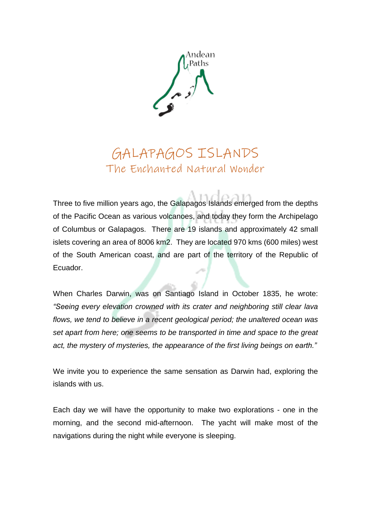

## GALAPAGOS ISLANDS The Enchanted Natural Wonder

Three to five million years ago, the Galapagos Islands emerged from the depths of the Pacific Ocean as various volcanoes, and today they form the Archipelago of Columbus or Galapagos. There are 19 islands and approximately 42 small islets covering an area of 8006 km2. They are located 970 kms (600 miles) west of the South American coast, and are part of the territory of the Republic of Ecuador.

When Charles Darwin, was on Santiago Island in October 1835, he wrote: *"Seeing every elevation crowned with its crater and neighboring still clear lava flows, we tend to believe in a recent geological period; the unaltered ocean was set apart from here; one seems to be transported in time and space to the great act, the mystery of mysteries, the appearance of the first living beings on earth."*

We invite you to experience the same sensation as Darwin had, exploring the islands with us.

Each day we will have the opportunity to make two explorations - one in the morning, and the second mid-afternoon. The yacht will make most of the navigations during the night while everyone is sleeping.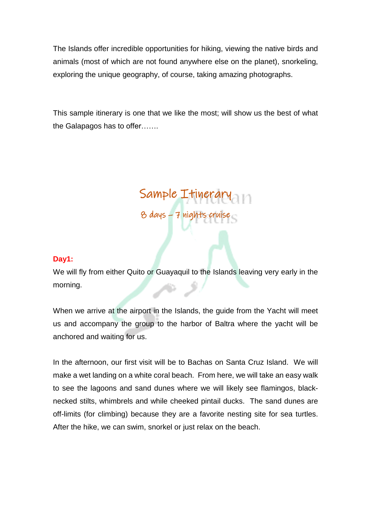The Islands offer incredible opportunities for hiking, viewing the native birds and animals (most of which are not found anywhere else on the planet), snorkeling, exploring the unique geography, of course, taking amazing photographs.

This sample itinerary is one that we like the most; will show us the best of what the Galapagos has to offer…….

# Sample Itinerary 8 days – 7 nights cruise

#### **Day1:**

We will fly from either Quito or Guayaquil to the Islands leaving very early in the morning.

f

When we arrive at the airport in the Islands, the guide from the Yacht will meet us and accompany the group to the harbor of Baltra where the yacht will be anchored and waiting for us.

In the afternoon, our first visit will be to Bachas on Santa Cruz Island. We will make a wet landing on a white coral beach. From here, we will take an easy walk to see the lagoons and sand dunes where we will likely see flamingos, blacknecked stilts, whimbrels and while cheeked pintail ducks. The sand dunes are off-limits (for climbing) because they are a favorite nesting site for sea turtles. After the hike, we can swim, snorkel or just relax on the beach.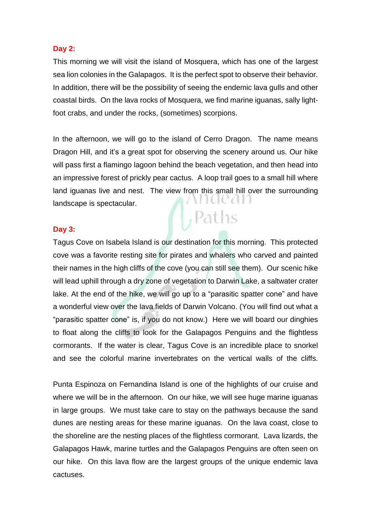#### **Day 2:**

This morning we will visit the island of Mosquera, which has one of the largest sea lion colonies in the Galapagos. It is the perfect spot to observe their behavior. In addition, there will be the possibility of seeing the endemic lava gulls and other coastal birds. On the lava rocks of Mosquera, we find marine iguanas, sally lightfoot crabs, and under the rocks, (sometimes) scorpions.

In the afternoon, we will go to the island of Cerro Dragon. The name means Dragon Hill, and it's a great spot for observing the scenery around us. Our hike will pass first a flamingo lagoon behind the beach vegetation, and then head into an impressive forest of prickly pear cactus. A loop trail goes to a small hill where land iguanas live and nest. The view from this small hill over the surrounding utuear landscape is spectacular.  $\vert$ , Paths

#### **Day 3:**

Tagus Cove on Isabela Island is our destination for this morning. This protected cove was a favorite resting site for pirates and whalers who carved and painted their names in the high cliffs of the cove (you can still see them). Our scenic hike will lead uphill through a dry zone of vegetation to Darwin Lake, a saltwater crater lake. At the end of the hike, we will go up to a "parasitic spatter cone" and have a wonderful view over the lava fields of Darwin Volcano. (You will find out what a "parasitic spatter cone" is, if you do not know.) Here we will board our dinghies to float along the cliffs to look for the Galapagos Penguins and the flightless cormorants. If the water is clear, Tagus Cove is an incredible place to snorkel and see the colorful marine invertebrates on the vertical walls of the cliffs.

Punta Espinoza on Fernandina Island is one of the highlights of our cruise and where we will be in the afternoon. On our hike, we will see huge marine iguanas in large groups. We must take care to stay on the pathways because the sand dunes are nesting areas for these marine iguanas. On the lava coast, close to the shoreline are the nesting places of the flightless cormorant. Lava lizards, the Galapagos Hawk, marine turtles and the Galapagos Penguins are often seen on our hike. On this lava flow are the largest groups of the unique endemic lava cactuses.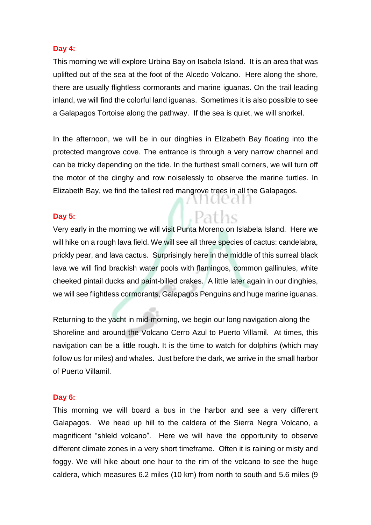#### **Day 4:**

This morning we will explore Urbina Bay on Isabela Island. It is an area that was uplifted out of the sea at the foot of the Alcedo Volcano. Here along the shore, there are usually flightless cormorants and marine iguanas. On the trail leading inland, we will find the colorful land iguanas. Sometimes it is also possible to see a Galapagos Tortoise along the pathway. If the sea is quiet, we will snorkel.

In the afternoon, we will be in our dinghies in Elizabeth Bay floating into the protected mangrove cove. The entrance is through a very narrow channel and can be tricky depending on the tide. In the furthest small corners, we will turn off the motor of the dinghy and row noiselessly to observe the marine turtles. In Elizabeth Bay, we find the tallest red mangrove trees in all the Galapagos.

WILLE

Paths

#### **Day 5:**

Very early in the morning we will visit Punta Moreno on Islabela Island. Here we will hike on a rough lava field. We will see all three species of cactus: candelabra, prickly pear, and lava cactus. Surprisingly here in the middle of this surreal black lava we will find brackish water pools with flamingos, common gallinules, white cheeked pintail ducks and paint-billed crakes. A little later again in our dinghies, we will see flightless cormorants, Galapagos Penguins and huge marine iguanas.

Returning to the yacht in mid-morning, we begin our long navigation along the Shoreline and around the Volcano Cerro Azul to Puerto Villamil. At times, this navigation can be a little rough. It is the time to watch for dolphins (which may follow us for miles) and whales. Just before the dark, we arrive in the small harbor of Puerto Villamil.

#### **Day 6:**

This morning we will board a bus in the harbor and see a very different Galapagos. We head up hill to the caldera of the Sierra Negra Volcano, a magnificent "shield volcano". Here we will have the opportunity to observe different climate zones in a very short timeframe. Often it is raining or misty and foggy. We will hike about one hour to the rim of the volcano to see the huge caldera, which measures 6.2 miles (10 km) from north to south and 5.6 miles (9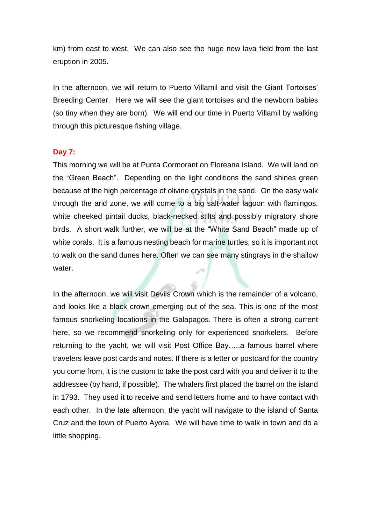km) from east to west. We can also see the huge new lava field from the last eruption in 2005.

In the afternoon, we will return to Puerto Villamil and visit the Giant Tortoises' Breeding Center. Here we will see the giant tortoises and the newborn babies (so tiny when they are born). We will end our time in Puerto Villamil by walking through this picturesque fishing village.

#### **Day 7:**

This morning we will be at Punta Cormorant on Floreana Island. We will land on the "Green Beach". Depending on the light conditions the sand shines green because of the high percentage of olivine crystals in the sand. On the easy walk through the arid zone, we will come to a big salt-water lagoon with flamingos, white cheeked pintail ducks, black-necked stilts and possibly migratory shore birds. A short walk further, we will be at the "White Sand Beach" made up of white corals. It is a famous nesting beach for marine turtles, so it is important not to walk on the sand dunes here. Often we can see many stingrays in the shallow water.

In the afternoon, we will visit Devils Crown which is the remainder of a volcano, and looks like a black crown emerging out of the sea. This is one of the most famous snorkeling locations in the Galapagos. There is often a strong current here, so we recommend snorkeling only for experienced snorkelers. Before returning to the yacht, we will visit Post Office Bay…..a famous barrel where travelers leave post cards and notes. If there is a letter or postcard for the country you come from, it is the custom to take the post card with you and deliver it to the addressee (by hand, if possible). The whalers first placed the barrel on the island in 1793. They used it to receive and send letters home and to have contact with each other. In the late afternoon, the yacht will navigate to the island of Santa Cruz and the town of Puerto Ayora. We will have time to walk in town and do a little shopping.